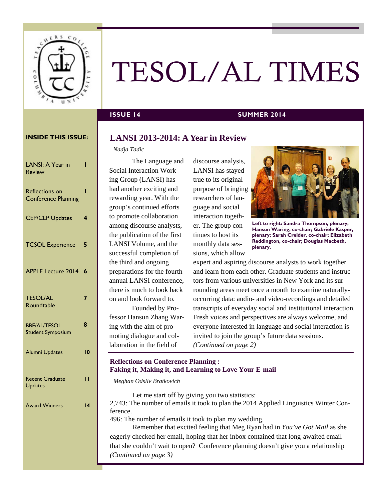

# TESOL/AL TIMES

### **ISSUE 14** SUMMER 2014

#### **INSIDE THIS ISSUE:**

| LANSI: A Year in<br><b>Review</b>                   | ı               |
|-----------------------------------------------------|-----------------|
| <b>Reflections on</b><br><b>Conference Planning</b> | ı               |
| <b>CEP/CLP Updates</b>                              | 4               |
| <b>TCSOL Experience</b>                             | 5               |
| <b>APPLE Lecture 2014</b>                           | 6               |
| <b>TESOL/AL</b><br>Roundtable                       | 7               |
| <b>BBE/AL/TESOL</b><br><b>Student Symposium</b>     | 8               |
| Alumni Updates                                      | $\overline{10}$ |
| <b>Recent Graduate</b><br><b>Updates</b>            | п               |
| <b>Award Winners</b>                                | 14              |
|                                                     |                 |

# **LANSI 2013-2014: A Year in Review**

#### *Nadja Tadic*

The Language and Social Interaction Working Group (LANSI) has had another exciting and rewarding year. With the group's continued efforts to promote collaboration among discourse analysts, the publication of the first LANSI Volume, and the successful completion of the third and ongoing preparations for the fourth annual LANSI conference, there is much to look back on and look forward to.

 Founded by Professor Hansun Zhang Waring with the aim of promoting dialogue and collaboration in the field of

discourse analysis, LANSI has stayed true to its original purpose of bringing researchers of language and social interaction together. The group continues to host its monthly data sessions, which allow



**Left to right: Sandra Thompson, plenary; Hansun Waring, co-chair; Gabriele Kasper, plenary; Sarah Creider, co-chair; Elizabeth Reddington, co-chair; Douglas Macbeth, plenary.** 

expert and aspiring discourse analysts to work together and learn from each other. Graduate students and instructors from various universities in New York and its surrounding areas meet once a month to examine naturallyoccurring data: audio- and video-recordings and detailed transcripts of everyday social and institutional interaction. Fresh voices and perspectives are always welcome, and everyone interested in language and social interaction is invited to join the group's future data sessions. *(Continued on page 2)* 

### **Reflections on Conference Planning : Faking it, Making it, and Learning to Love Your E-mail**

*Meghan Odsliv Bratkovich* 

Let me start off by giving you two statistics: 2,743: The number of emails it took to plan the 2014 Applied Linguistics Winter Conference.

496: The number of emails it took to plan my wedding.

Remember that excited feeling that Meg Ryan had in *You've Got Mail* as she eagerly checked her email, hoping that her inbox contained that long-awaited email that she couldn't wait to open? Conference planning doesn't give you a relationship *(Continued on page 3)*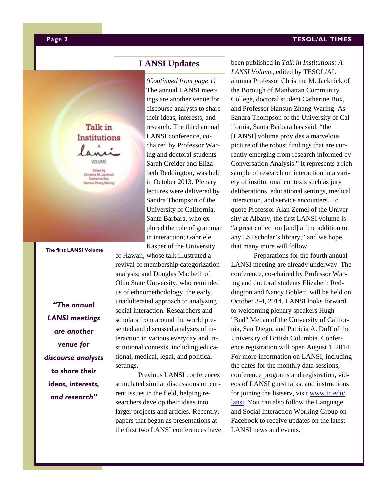#### **TESOL/AL TIMES**

# **LANSI Updates**

*(Continued from page 1)* The annual LANSI meetings are another venue for discourse analysts to share their ideas, interests, and research. The third annual LANSI conference, cochaired by Professor Waring and doctoral students Sarah Creider and Elizabeth Reddington, was held in October 2013. Plenary lectures were delivered by Sandra Thompson of the University of California, Santa Barbara, who explored the role of grammar in interaction; Gabriele Kasper of the University

of Hawaii, whose talk illustrated a revival of membership categorization analysis; and Douglas Macbeth of Ohio State University, who reminded us of ethnomethodology, the early, unadulterated approach to analyzing social interaction. Researchers and scholars from around the world presented and discussed analyses of interaction in various everyday and institutional contexts, including educational, medical, legal, and political settings.

Previous LANSI conferences stimulated similar discussions on current issues in the field, helping researchers develop their ideas into larger projects and articles. Recently, papers that began as presentations at the first two LANSI conferences have been published in *Talk in Institutions: A LANSI Volume,* edited by TESOL/AL alumna Professor Christine M. Jacknick of the Borough of Manhattan Community College, doctoral student Catherine Box, and Professor Hansun Zhang Waring. As Sandra Thompson of the University of California, Santa Barbara has said, "the [LANSI] volume provides a marvelous picture of the robust findings that are currently emerging from research informed by Conversation Analysis." It represents a rich sample of research on interaction in a variety of institutional contexts such as jury deliberations, educational settings, medical interaction, and service encounters. To quote Professor Alan Zemel of the University at Albany, the first LANSI volume is "a great collection [and] a fine addition to any LSI scholar's library," and we hope that many more will follow.

Preparations for the fourth annual LANSI meeting are already underway. The conference, co-chaired by Professor Waring and doctoral students Elizabeth Reddington and Nancy Boblett, will be held on October 3-4, 2014. LANSI looks forward to welcoming plenary speakers Hugh "Bud" Mehan of the University of California, San Diego, and Patricia A. Duff of the University of British Columbia. Conference registration will open August 1, 2014. For more information on LANSI, including the dates for the monthly data sessions, conference programs and registration, videos of LANSI guest talks, and instructions for joining the listserv, visit www.tc.edu/ lansi. You can also follow the Language and Social Interaction Working Group on Facebook to receive updates on the latest LANSI news and events.

Institutions VOLUME Edited by **Christine M. Jackrick**<br>Catherine Box

un Zhang Waring

Talk in

**The first LANSI Volume** 

*"The annual LANSI meetings are another venue for discourse analysts to share their ideas, interests, and research"*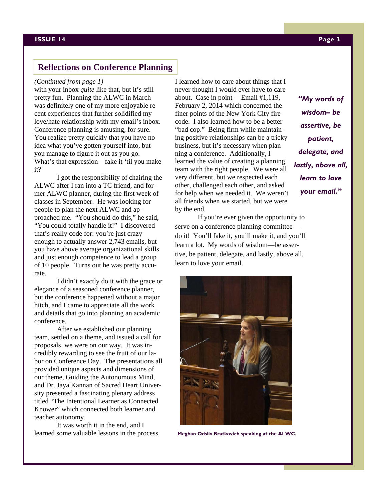## **Reflections on Conference Planning**

#### *(Continued from page 1)*

with your inbox *quite* like that, but it's still pretty fun. Planning the ALWC in March was definitely one of my more enjoyable recent experiences that further solidified my love/hate relationship with my email's inbox. Conference planning is amusing, for sure. You realize pretty quickly that you have no idea what you've gotten yourself into, but you manage to figure it out as you go. What's that expression—fake it 'til you make it?

 I got the responsibility of chairing the ALWC after I ran into a TC friend, and former ALWC planner, during the first week of classes in September. He was looking for people to plan the next ALWC and approached me. "You should do this," he said, "You could totally handle it!" I discovered that's really code for: you're just crazy enough to actually answer 2,743 emails, but you have above average organizational skills and just enough competence to lead a group of 10 people. Turns out he was pretty accurate.

 I didn't exactly do it with the grace or elegance of a seasoned conference planner, but the conference happened without a major hitch, and I came to appreciate all the work and details that go into planning an academic conference.

After we established our planning team, settled on a theme, and issued a call for proposals, we were on our way. It was incredibly rewarding to see the fruit of our labor on Conference Day. The presentations all provided unique aspects and dimensions of our theme, Guiding the Autonomous Mind, and Dr. Jaya Kannan of Sacred Heart University presented a fascinating plenary address titled "The Intentional Learner as Connected Knower" which connected both learner and teacher autonomy.

It was worth it in the end, and I learned some valuable lessons in the process. I learned how to care about things that I never thought I would ever have to care about. Case in point— Email #1,119, February 2, 2014 which concerned the finer points of the New York City fire code. I also learned how to be a better "bad cop." Being firm while maintaining positive relationships can be a tricky business, but it's necessary when planning a conference. Additionally, I learned the value of creating a planning team with the right people. We were all very different, but we respected each other, challenged each other, and asked for help when we needed it. We weren't all friends when we started, but we were by the end.

If you're ever given the opportunity to serve on a conference planning committee do it! You'll fake it, you'll make it, and you'll learn a lot. My words of wisdom—be assertive, be patient, delegate, and lastly, above all, learn to love your email.



 **Meghan Odsliv Bratkovich speaking at the ALWC.** 

*"My words of wisdom– be assertive, be patient, delegate, and lastly, above all, learn to love your email."*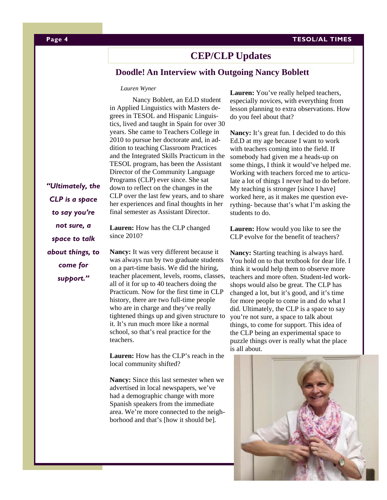#### **Page 4 TESOL/AL TIMES**

# **CEP/CLP Updates**

# **Doodle! An Interview with Outgoing Nancy Boblett**

#### *Lauren Wyner*

 Nancy Boblett, an Ed.D student in Applied Linguistics with Masters degrees in TESOL and Hispanic Linguistics, lived and taught in Spain for over 30 years. She came to Teachers College in 2010 to pursue her doctorate and, in addition to teaching Classroom Practices and the Integrated Skills Practicum in the TESOL program, has been the Assistant Director of the Community Language Programs (CLP) ever since. She sat down to reflect on the changes in the CLP over the last few years, and to share her experiences and final thoughts in her final semester as Assistant Director.

*"Ultimately, the CLP is a space to say you're not sure, a space to talk about things, to come for support."* 

**Lauren:** How has the CLP changed since 2010?

**Nancy:** It was very different because it was always run by two graduate students on a part-time basis. We did the hiring, teacher placement, levels, rooms, classes, all of it for up to 40 teachers doing the Practicum. Now for the first time in CLP history, there are two full-time people who are in charge and they've really tightened things up and given structure to it. It's run much more like a normal school, so that's real practice for the teachers.

**Lauren:** How has the CLP's reach in the local community shifted?

**Nancy:** Since this last semester when we advertised in local newspapers, we've had a demographic change with more Spanish speakers from the immediate area. We're more connected to the neighborhood and that's [how it should be].

Lauren: You've really helped teachers, especially novices, with everything from lesson planning to extra observations. How do you feel about that?

**Nancy:** It's great fun. I decided to do this Ed.D at my age because I want to work with teachers coming into the field. If somebody had given me a heads-up on some things, I think it would've helped me. Working with teachers forced me to articulate a lot of things I never had to do before. My teaching is stronger [since I have] worked here, as it makes me question everything- because that's what I'm asking the students to do.

Lauren: How would you like to see the CLP evolve for the benefit of teachers?

Nancy: Starting teaching is always hard. You hold on to that textbook for dear life. I think it would help them to observe more teachers and more often. Student-led workshops would also be great. The CLP has changed a lot, but it's good, and it's time for more people to come in and do what I did. Ultimately, the CLP is a space to say you're not sure, a space to talk about things, to come for support. This idea of the CLP being an experimental space to puzzle things over is really what the place is all about.

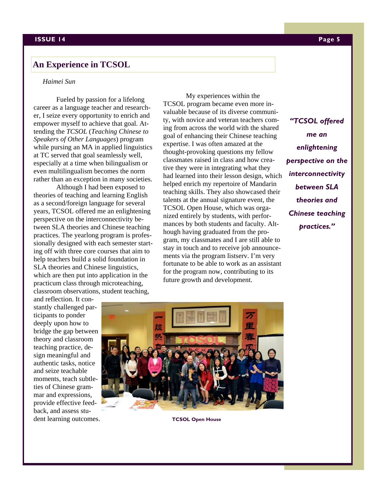# **An Experience in TCSOL**

#### *Haimei Sun*

Fueled by passion for a lifelong career as a language teacher and researcher, I seize every opportunity to enrich and empower myself to achieve that goal. Attending the *TCSOL* (*Teaching Chinese to Speakers of Other Languages*) program while pursing an MA in applied linguistics at TC served that goal seamlessly well, especially at a time when bilingualism or even multilingualism becomes the norm rather than an exception in many societies.

Although I had been exposed to theories of teaching and learning English as a second/foreign language for several years, TCSOL offered me an enlightening perspective on the interconnectivity between SLA theories and Chinese teaching practices. The yearlong program is professionally designed with each semester starting off with three core courses that aim to help teachers build a solid foundation in SLA theories and Chinese linguistics, which are then put into application in the practicum class through microteaching, classroom observations, student teaching,

My experiences within the TCSOL program became even more invaluable because of its diverse community, with novice and veteran teachers coming from across the world with the shared goal of enhancing their Chinese teaching expertise. I was often amazed at the thought-provoking questions my fellow classmates raised in class and how creative they were in integrating what they had learned into their lesson design, which helped enrich my repertoire of Mandarin teaching skills. They also showcased their talents at the annual signature event, the TCSOL Open House, which was organized entirely by students, with performances by both students and faculty. Although having graduated from the program, my classmates and I are still able to stay in touch and to receive job announcements via the program listserv. I'm very fortunate to be able to work as an assistant for the program now, contributing to its future growth and development.

*"TCSOL offered me an enlightening perspective on the interconnectivity between SLA theories and Chinese teaching practices."* 

and reflection. It constantly challenged participants to ponder deeply upon how to bridge the gap between theory and classroom teaching practice, design meaningful and authentic tasks, notice and seize teachable moments, teach subtleties of Chinese grammar and expressions, provide effective feedback, and assess student learning outcomes.



**TCSOL Open House**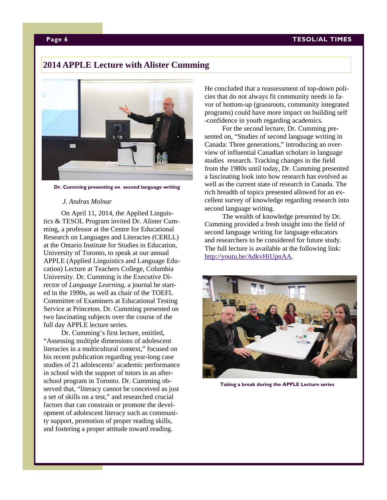# **2014 APPLE Lecture with Alister Cumming**



**Dr. Cumming presenting on second language writing** 

#### *J. Andras Molnar*

On April 11, 2014, the Applied Linguistics & TESOL Program invited Dr. Alister Cumming, a professor at the Centre for Educational Research on Languages and Literacies (CERLL) at the Ontario Institute for Studies in Education, University of Toronto, to speak at our annual APPLE (Applied Linguistics and Language Education) Lecture at Teachers College, Columbia University. Dr. Cumming is the Executive Director of *Language Learning*, a journal he started in the 1990s, as well as chair of the TOEFL Committee of Examiners at Educational Testing Service at Princeton. Dr. Cumming presented on two fascinating subjects over the course of the full day APPLE lecture series.

 Dr. Cumming's first lecture, entitled, "Assessing multiple dimensions of adolescent literacies in a multicultural context," focused on his recent publication regarding year-long case studies of 21 adolescents' academic performance in school with the support of tutors in an afterschool program in Toronto. Dr. Cumming observed that, "literacy cannot be conceived as just a set of skills on a test," and researched crucial factors that can constrain or promote the development of adolescent literacy such as community support, promotion of proper reading skills, and fostering a proper attitude toward reading.

He concluded that a reassessment of top-down policies that do not always fit community needs in favor of bottom-up (grassroots, community integrated programs) could have more impact on building self -confidence in youth regarding academics.

 For the second lecture, Dr. Cumming presented on, "Studies of second language writing in Canada: Three generations," introducing an overview of influential Canadian scholars in language studies research. Tracking changes in the field from the 1980s until today, Dr. Cumming presented a fascinating look into how research has evolved as well as the current state of research in Canada. The rich breadth of topics presented allowed for an excellent survey of knowledge regarding research into second language writing.

 The wealth of knowledge presented by Dr. Cumming provided a fresh insight into the field of second language writing for language educators and researchers to be considered for future study. The full lecture is available at the following link: http://youtu.be/AdkvHiUpnAA.



**Taking a break during the APPLE Lecture series**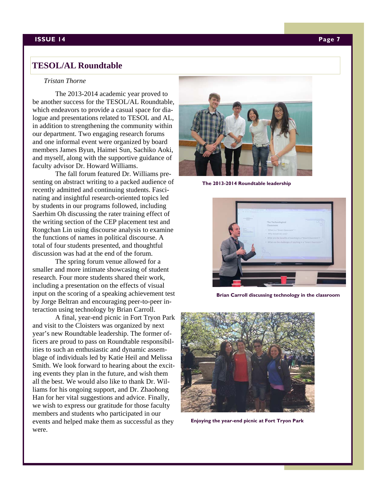#### **ISSUE 14 Page 7**

# **TESOL/AL Roundtable**

#### *Tristan Thorne*

The 2013-2014 academic year proved to be another success for the TESOL/AL Roundtable, which endeavors to provide a casual space for dialogue and presentations related to TESOL and AL, in addition to strengthening the community within our department. Two engaging research forums and one informal event were organized by board members James Byun, Haimei Sun, Sachiko Aoki, and myself, along with the supportive guidance of faculty advisor Dr. Howard Williams.

 The fall forum featured Dr. Williams presenting on abstract writing to a packed audience of recently admitted and continuing students. Fascinating and insightful research-oriented topics led by students in our programs followed, including Saerhim Oh discussing the rater training effect of the writing section of the CEP placement test and Rongchan Lin using discourse analysis to examine the functions of names in political discourse. A total of four students presented, and thoughtful discussion was had at the end of the forum.

 The spring forum venue allowed for a smaller and more intimate showcasing of student research. Four more students shared their work, including a presentation on the effects of visual input on the scoring of a speaking achievement test by Jorge Beltran and encouraging peer-to-peer interaction using technology by Brian Carroll.

 A final, year-end picnic in Fort Tryon Park and visit to the Cloisters was organized by next year's new Roundtable leadership. The former officers are proud to pass on Roundtable responsibilities to such an enthusiastic and dynamic assemblage of individuals led by Katie Heil and Melissa Smith. We look forward to hearing about the exciting events they plan in the future, and wish them all the best. We would also like to thank Dr. Williams for his ongoing support, and Dr. Zhaohong Han for her vital suggestions and advice. Finally, we wish to express our gratitude for those faculty members and students who participated in our events and helped make them as successful as they were.



**The 2013-2014 Roundtable leadership** 



**Brian Carroll discussing technology in the classroom** 



**Enjoying the year-end picnic at Fort Tryon Park**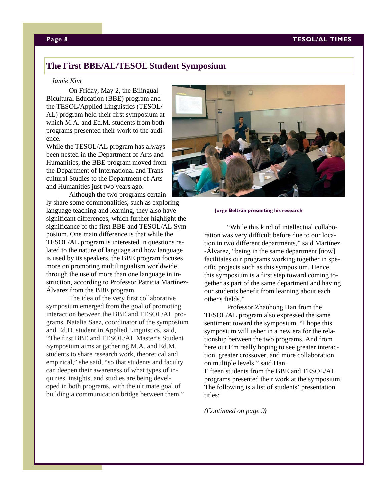# **The First BBE/AL/TESOL Student Symposium**

#### *Jamie Kim*

On Friday, May 2, the Bilingual Bicultural Education (BBE) program and the TESOL/Applied Linguistics (TESOL/ AL) program held their first symposium at which M.A. and Ed.M. students from both programs presented their work to the audience.

While the TESOL/AL program has always been nested in the Department of Arts and Humanities, the BBE program moved from the Department of International and Transcultural Studies to the Department of Arts and Humanities just two years ago.

 Although the two programs certainly share some commonalities, such as exploring language teaching and learning, they also have significant differences, which further highlight the significance of the first BBE and TESOL/AL Symposium. One main difference is that while the TESOL/AL program is interested in questions related to the nature of language and how language is used by its speakers, the BBE program focuses more on promoting multilingualism worldwide through the use of more than one language in instruction, according to Professor Patricia Martínez-Álvarez from the BBE program.

The idea of the very first collaborative symposium emerged from the goal of promoting interaction between the BBE and TESOL/AL programs. Natalia Saez, coordinator of the symposium and Ed.D. student in Applied Linguistics, said, "The first BBE and TESOL/AL Master's Student Symposium aims at gathering M.A. and Ed.M. students to share research work, theoretical and empirical," she said, "so that students and faculty can deepen their awareness of what types of inquiries, insights, and studies are being developed in both programs, with the ultimate goal of building a communication bridge between them."



#### **Jorge Beltrán presenting his research**

"While this kind of intellectual collaboration was very difficult before due to our location in two different departments," said Martínez -Álvarez, "being in the same department [now] facilitates our programs working together in specific projects such as this symposium. Hence, this symposium is a first step toward coming together as part of the same department and having our students benefit from learning about each other's fields."

 Professor Zhaohong Han from the TESOL/AL program also expressed the same sentiment toward the symposium. "I hope this symposium will usher in a new era for the relationship between the two programs. And from here out I'm really hoping to see greater interaction, greater crossover, and more collaboration on multiple levels," said Han. Fifteen students from the BBE and TESOL/AL programs presented their work at the symposium. The following is a list of students' presentation titles:

*(Continued on page 9)*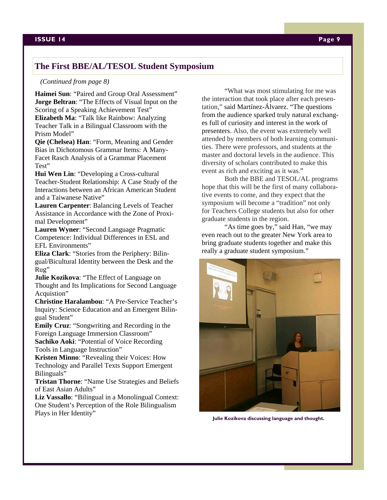# **The First BBE/AL/TESOL Student Symposium**

#### *(Continued from page 8)*

**Haimei Sun**: "Paired and Group Oral Assessment" **Jorge Beltran**: "The Effects of Visual Input on the Scoring of a Speaking Achievement Test" **Elizabeth Ma**: "Talk like Rainbow: Analyzing Teacher Talk in a Bilingual Classroom with the Prism Model"

**Qie (Chelsea) Han**: "Form, Meaning and Gender Bias in Dichotomous Grammar Items: A Many-Facet Rasch Analysis of a Grammar Placement Test"

**Hui Wen Lin**: "Developing a Cross-cultural Teacher-Student Relationship: A Case Study of the Interactions between an African American Student and a Taiwanese Native"

**Lauren Carpenter**: Balancing Levels of Teacher Assistance in Accordance with the Zone of Proximal Development"

**Lauren Wyner**: "Second Language Pragmatic Competence: Individual Differences in ESL and EFL Environments"

**Eliza Clark**: "Stories from the Periphery: Bilingual/Bicultural Identity between the Desk and the Rug"

**Julie Kozikova**: "The Effect of Language on Thought and Its Implications for Second Language Acquistion"

**Christine Haralambou**: "A Pre-Service Teacher's Inquiry: Science Education and an Emergent Bilingual Student"

**Emily Cruz**: "Songwriting and Recording in the Foreign Language Immersion Classroom"

**Sachiko Aoki**: "Potential of Voice Recording Tools in Language Instruction"

**Kristen Minno**: "Revealing their Voices: How Technology and Parallel Texts Support Emergent Bilinguals"

**Tristan Thorne**: "Name Use Strategies and Beliefs of East Asian Adults"

**Liz Vassallo**: "Bilingual in a Monolingual Context: One Student's Perception of the Role Bilingualism Plays in Her Identity"

"What was most stimulating for me was the interaction that took place after each presentation," said Martínez-Álvarez. "The questions from the audience sparked truly natural exchanges full of curiosity and interest in the work of presenters. Also, the event was extremely well attended by members of both learning communities. There were professors, and students at the master and doctoral levels in the audience. This diversity of scholars contributed to make this event as rich and exciting as it was."

Both the BBE and TESOL/AL programs hope that this will be the first of many collaborative events to come, and they expect that the symposium will become a "tradition" not only for Teachers College students but also for other graduate students in the region.

"As time goes by," said Han, "we may even reach out to the greater New York area to bring graduate students together and make this really a graduate student symposium."



**Julie Kozikova discussing language and thought.**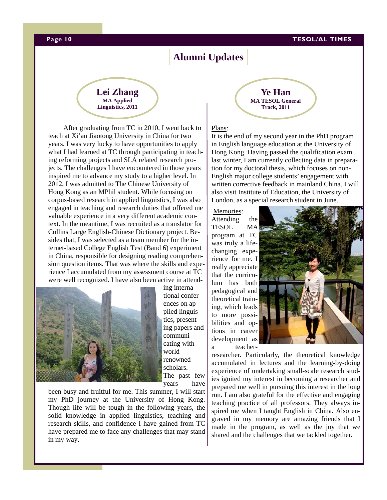#### **Page 10 TESOL/AL TIMES**

# **Alumni Updates**



After graduating from TC in 2010, I went back to teach at Xi'an Jiaotong University in China for two years. I was very lucky to have opportunities to apply what I had learned at TC through participating in teaching reforming projects and SLA related research projects. The challenges I have encountered in those years inspired me to advance my study to a higher level. In 2012, I was admitted to The Chinese University of Hong Kong as an MPhil student. While focusing on corpus-based research in applied linguistics, I was also engaged in teaching and research duties that offered me valuable experience in a very different academic context. In the meantime, I was recruited as a translator for Collins Large English-Chinese Dictionary project. Besides that, I was selected as a team member for the internet-based College English Test (Band 6) experiment in China, responsible for designing reading comprehension question items. That was where the skills and experience I accumulated from my assessment course at TC were well recognized. I have also been active in attend-



ing international conferences on applied linguistics, presenting papers and communicating with worldrenowned scholars. The past few years have

been busy and fruitful for me. This summer, I will start my PhD journey at the University of Hong Kong. Though life will be tough in the following years, the solid knowledge in applied linguistics, teaching and research skills, and confidence I have gained from TC have prepared me to face any challenges that may stand in my way.

**Ye Han MA TESOL General Track, 2011** 

#### Plans:

It is the end of my second year in the PhD program in English language education at the University of Hong Kong. Having passed the qualification exam last winter, I am currently collecting data in preparation for my doctoral thesis, which focuses on non-English major college students' engagement with written corrective feedback in mainland China. I will also visit Institute of Education, the University of London, as a special research student in June.

 Memories: Attending the TESOL MA program at TC was truly a lifechanging experience for me. I really appreciate that the curriculum has both pedagogical and theoretical training, which leads to more possibilities and options in career development as a teacher-



researcher. Particularly, the theoretical knowledge accumulated in lectures and the learning-by-doing experience of undertaking small-scale research studies ignited my interest in becoming a researcher and prepared me well in pursuing this interest in the long run. I am also grateful for the effective and engaging teaching practice of all professors. They always inspired me when I taught English in China. Also engraved in my memory are amazing friends that I made in the program, as well as the joy that we shared and the challenges that we tackled together.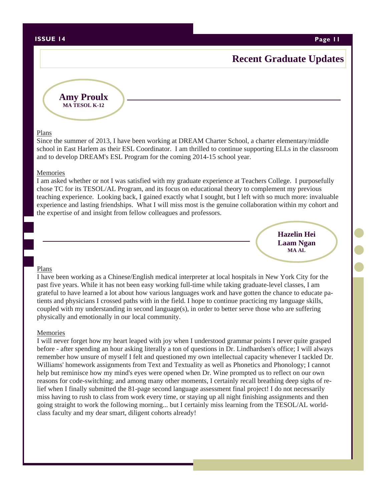#### **ISSUE 14 Page 11**

# **Recent Graduate Updates**

**Amy Proulx MA TESOL K-12** 

#### Plans

Since the summer of 2013, I have been working at DREAM Charter School, a charter elementary/middle school in East Harlem as their ESL Coordinator. I am thrilled to continue supporting ELLs in the classroom and to develop DREAM's ESL Program for the coming 2014-15 school year.

#### Memories

I am asked whether or not I was satisfied with my graduate experience at Teachers College. I purposefully chose TC for its TESOL/AL Program, and its focus on educational theory to complement my previous teaching experience. Looking back, I gained exactly what I sought, but I left with so much more: invaluable experience and lasting friendships. What I will miss most is the genuine collaboration within my cohort and the expertise of and insight from fellow colleagues and professors.

> **Hazelin Hei Laam Ngan MA AL**

#### Plans

I have been working as a Chinese/English medical interpreter at local hospitals in New York City for the past five years. While it has not been easy working full-time while taking graduate-level classes, I am grateful to have learned a lot about how various languages work and have gotten the chance to educate patients and physicians I crossed paths with in the field. I hope to continue practicing my language skills, coupled with my understanding in second language(s), in order to better serve those who are suffering physically and emotionally in our local community.

#### Memories

I will never forget how my heart leaped with joy when I understood grammar points I never quite grasped before - after spending an hour asking literally a ton of questions in Dr. Lindhardsen's office; I will always remember how unsure of myself I felt and questioned my own intellectual capacity whenever I tackled Dr. Williams' homework assignments from Text and Textuality as well as Phonetics and Phonology; I cannot help but reminisce how my mind's eyes were opened when Dr. Wine prompted us to reflect on our own reasons for code-switching; and among many other moments, I certainly recall breathing deep sighs of relief when I finally submitted the 81-page second language assessment final project! I do not necessarily miss having to rush to class from work every time, or staying up all night finishing assignments and then going straight to work the following morning... but I certainly miss learning from the TESOL/AL worldclass faculty and my dear smart, diligent cohorts already!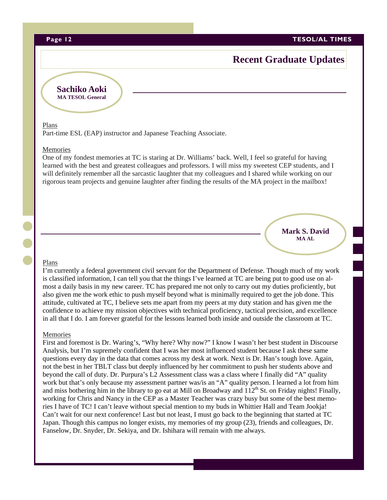**Page 12 TESOL/AL TIMES** 

# **Recent Graduate Updates**

**Sachiko Aoki MA TESOL General** 

#### Plans

Part-time ESL (EAP) instructor and Japanese Teaching Associate.

#### Memories

One of my fondest memories at TC is staring at Dr. Williams' back. Well, I feel so grateful for having learned with the best and greatest colleagues and professors. I will miss my sweetest CEP students, and I will definitely remember all the sarcastic laughter that my colleagues and I shared while working on our rigorous team projects and genuine laughter after finding the results of the MA project in the mailbox!

#### **Mark S. David MA AL**

#### Plans

I'm currently a federal government civil servant for the Department of Defense. Though much of my work is classified information, I can tell you that the things I've learned at TC are being put to good use on almost a daily basis in my new career. TC has prepared me not only to carry out my duties proficiently, but also given me the work ethic to push myself beyond what is minimally required to get the job done. This attitude, cultivated at TC, I believe sets me apart from my peers at my duty station and has given me the confidence to achieve my mission objectives with technical proficiency, tactical precision, and excellence in all that I do. I am forever grateful for the lessons learned both inside and outside the classroom at TC.

#### **Memories**

First and foremost is Dr. Waring's, "Why here? Why now?" I know I wasn't her best student in Discourse Analysis*,* but I'm supremely confident that I was her most influenced student because I ask these same questions every day in the data that comes across my desk at work. Next is Dr. Han's tough love. Again, not the best in her TBLT class but deeply influenced by her commitment to push her students above and beyond the call of duty. Dr. Purpura's L2 Assessment class was a class where I finally did "A" quality work but that's only because my assessment partner was/is an "A" quality person. I learned a lot from him and miss bothering him in the library to go eat at Mill on Broadway and  $112^{th}$  St. on Friday nights! Finally, working for Chris and Nancy in the CEP as a Master Teacher was crazy busy but some of the best memories I have of TC! I can't leave without special mention to my buds in Whittier Hall and Team Jookja! Can't wait for our next conference! Last but not least, I must go back to the beginning that started at TC Japan. Though this campus no longer exists, my memories of my group (23), friends and colleagues, Dr. Fanselow, Dr. Snyder, Dr. Sekiya, and Dr. Ishihara will remain with me always.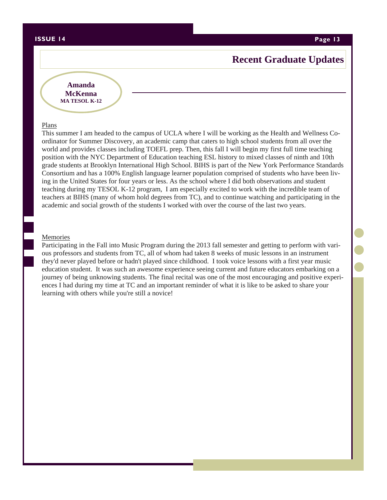#### **ISSUE 14 Page 13**

# **Recent Graduate Updates**

### **Amanda McKenna MA TESOL K-12**

#### Plans

This summer I am headed to the campus of UCLA where I will be working as the Health and Wellness Coordinator for Summer Discovery, an academic camp that caters to high school students from all over the world and provides classes including TOEFL prep. Then, this fall I will begin my first full time teaching position with the NYC Department of Education teaching ESL history to mixed classes of ninth and 10th grade students at Brooklyn International High School. BIHS is part of the New York Performance Standards Consortium and has a 100% English language learner population comprised of students who have been living in the United States for four years or less. As the school where I did both observations and student teaching during my TESOL K-12 program, I am especially excited to work with the incredible team of teachers at BIHS (many of whom hold degrees from TC), and to continue watching and participating in the academic and social growth of the students I worked with over the course of the last two years.

#### Memories

Participating in the Fall into Music Program during the 2013 fall semester and getting to perform with various professors and students from TC, all of whom had taken 8 weeks of music lessons in an instrument they'd never played before or hadn't played since childhood. I took voice lessons with a first year music education student. It was such an awesome experience seeing current and future educators embarking on a journey of being unknowing students. The final recital was one of the most encouraging and positive experiences I had during my time at TC and an important reminder of what it is like to be asked to share your learning with others while you're still a novice!